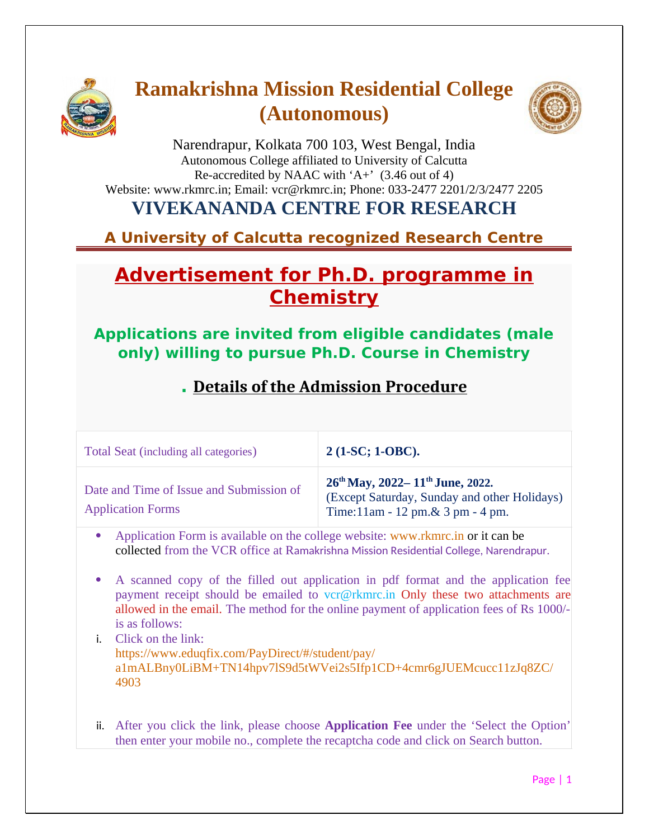

# **Ramakrishna Mission Residential College (Autonomous)**



Narendrapur, Kolkata 700 103, West Bengal, India Autonomous College affiliated to University of Calcutta Re-accredited by NAAC with 'A+'  $(3.46 \text{ out of } 4)$ Website: www.rkmrc.in; Email: vcr@rkmrc.in; Phone: 033-2477 2201/2/3/2477 2205

### **VIVEKANANDA CENTRE FOR RESEARCH**

**A University of Calcutta recognized Research Centre** 

## **Advertisement for Ph.D. programme in Chemistry**

**Applications are invited from eligible candidates (male only) willing to pursue Ph.D. Course in Chemistry**

#### **. Details of the Admission Procedure**

| Total Seat (including all categories)                                | $2(1-SC; 1-OBC).$                                                                                                                           |
|----------------------------------------------------------------------|---------------------------------------------------------------------------------------------------------------------------------------------|
| Date and Time of Issue and Submission of<br><b>Application Forms</b> | 26 <sup>th</sup> May, 2022–11 <sup>th</sup> June, 2022.<br>(Except Saturday, Sunday and other Holidays)<br>Time:11am - 12 pm.& 3 pm - 4 pm. |

- Application Form is available on the college website: [www.rkmrc.in](http://www.rkmrc.in/) or it can be collected from the VCR office at Ramakrishna Mission Residential College, Narendrapur.
- A scanned copy of the filled out application in pdf format and the application fee payment receipt should be emailed to  $vcr(\mathcal{D}rkmrc.in)$  Only these two attachments are allowed in the email. The method for the online payment of application fees of Rs 1000/ is as follows:
- i. Click on the link: [https://www.eduqfix.com/PayDirect/#/student/pay/](https://www.eduqfix.com/PayDirect/#/student/pay/a1mALBny0LiBM+TN14hpv7lS9d5tWVei2s5Ifp1CD+4cmr6gJUEMcucc11zJq8ZC/4903) [a1mALBny0LiBM+TN14hpv7lS9d5tWVei2s5Ifp1CD+4cmr6gJUEMcucc11zJq8ZC/](https://www.eduqfix.com/PayDirect/#/student/pay/a1mALBny0LiBM+TN14hpv7lS9d5tWVei2s5Ifp1CD+4cmr6gJUEMcucc11zJq8ZC/4903) [4903](https://www.eduqfix.com/PayDirect/#/student/pay/a1mALBny0LiBM+TN14hpv7lS9d5tWVei2s5Ifp1CD+4cmr6gJUEMcucc11zJq8ZC/4903)
- ii. After you click the link, please choose **Application Fee** under the 'Select the Option' then enter your mobile no., complete the recaptcha code and click on Search button.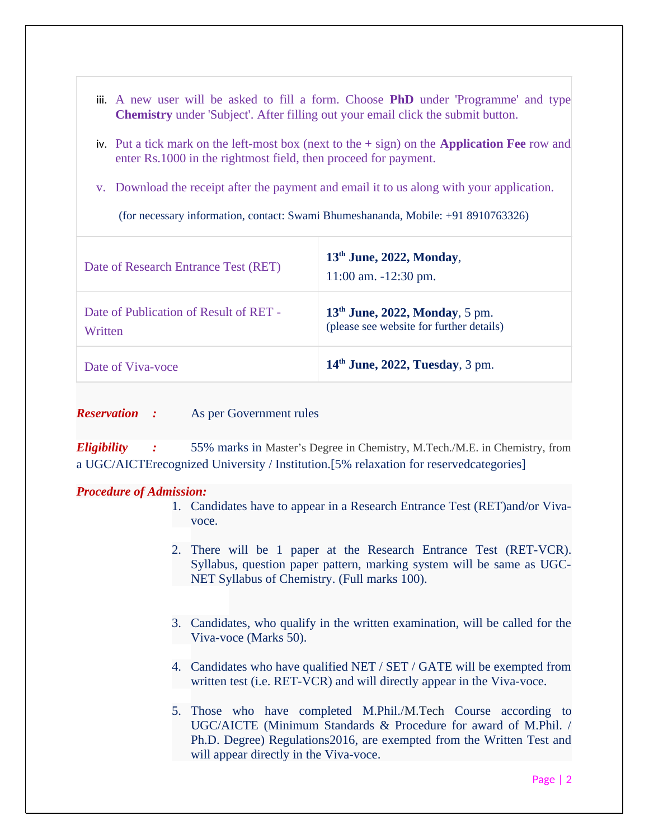| iii. A new user will be asked to fill a form. Choose <b>PhD</b> under 'Programme' and type<br><b>Chemistry</b> under 'Subject'. After filling out your email click the submit button. |                                                                              |
|---------------------------------------------------------------------------------------------------------------------------------------------------------------------------------------|------------------------------------------------------------------------------|
| iv. Put a tick mark on the left-most box (next to the $+$ sign) on the <b>Application Fee</b> row and<br>enter Rs.1000 in the rightmost field, then proceed for payment.              |                                                                              |
| v. Download the receipt after the payment and email it to us along with your application.                                                                                             |                                                                              |
| (for necessary information, contact: Swami Bhumeshananda, Mobile: +91 8910763326)                                                                                                     |                                                                              |
| Date of Research Entrance Test (RET)                                                                                                                                                  | 13 <sup>th</sup> June, 2022, Monday,<br>$11:00$ am. $-12:30$ pm.             |
| Date of Publication of Result of RET -<br>Written                                                                                                                                     | $13th$ June, 2022, Monday, 5 pm.<br>(please see website for further details) |
| Date of Viva-voce                                                                                                                                                                     | $14th$ June, 2022, Tuesday, 3 pm.                                            |

*Reservation :* As per Government rules

*Eligibility :* 55% marks in Master's Degree in Chemistry, M.Tech./M.E. in Chemistry, from a UGC/AICTErecognized University / Institution.[5% relaxation for reservedcategories]

#### *Procedure of Admission:*

- 1. Candidates have to appear in a Research Entrance Test (RET)and/or Vivavoce.
- 2. There will be 1 paper at the Research Entrance Test (RET-VCR). Syllabus, question paper pattern, marking system will be same as UGC-NET Syllabus of Chemistry. (Full marks 100).
- 3. Candidates, who qualify in the written examination, will be called for the Viva-voce (Marks 50).
- 4. Candidates who have qualified NET / SET / GATE will be exempted from written test (i.e. RET-VCR) and will directly appear in the Viva-voce.
- 5. Those who have completed M.Phil./M.Tech Course according to UGC/AICTE (Minimum Standards & Procedure for award of M.Phil. / Ph.D. Degree) Regulations2016, are exempted from the Written Test and will appear directly in the Viva-voce.